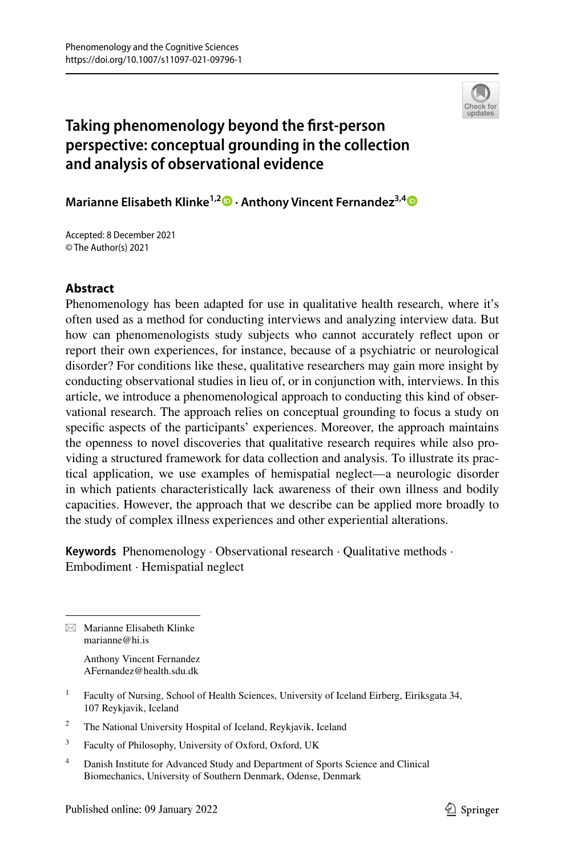

# **Taking phenomenology beyond the frst‑person perspective: conceptual grounding in the collection and analysis of observational evidence**

**Marianne Elisabeth Klinke<sup>1,2</sup> • Anthony Vincent Fernandez<sup>3,[4](http://orcid.org/0000-0003-1376-4520)</sup> •** 

Accepted: 8 December 2021 © The Author(s) 2021

## **Abstract**

Phenomenology has been adapted for use in qualitative health research, where it's often used as a method for conducting interviews and analyzing interview data. But how can phenomenologists study subjects who cannot accurately refect upon or report their own experiences, for instance, because of a psychiatric or neurological disorder? For conditions like these, qualitative researchers may gain more insight by conducting observational studies in lieu of, or in conjunction with, interviews. In this article, we introduce a phenomenological approach to conducting this kind of observational research. The approach relies on conceptual grounding to focus a study on specifc aspects of the participants' experiences. Moreover, the approach maintains the openness to novel discoveries that qualitative research requires while also providing a structured framework for data collection and analysis. To illustrate its practical application, we use examples of hemispatial neglect—a neurologic disorder in which patients characteristically lack awareness of their own illness and bodily capacities. However, the approach that we describe can be applied more broadly to the study of complex illness experiences and other experiential alterations.

**Keywords** Phenomenology · Observational research · Qualitative methods · Embodiment · Hemispatial neglect

 $\boxtimes$  Marianne Elisabeth Klinke marianne@hi.is

> Anthony Vincent Fernandez AFernandez@health.sdu.dk

- <sup>2</sup> The National University Hospital of Iceland, Reykjavik, Iceland
- <sup>3</sup> Faculty of Philosophy, University of Oxford, Oxford, UK
- <sup>4</sup> Danish Institute for Advanced Study and Department of Sports Science and Clinical Biomechanics, University of Southern Denmark, Odense, Denmark

<sup>&</sup>lt;sup>1</sup> Faculty of Nursing, School of Health Sciences, University of Iceland Eirberg, Eiriksgata 34, 107 Reykjavik, Iceland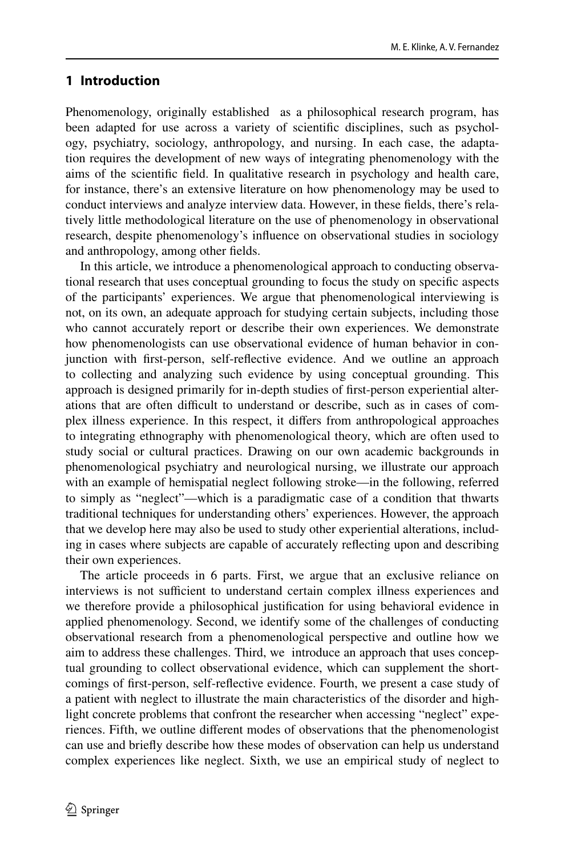## **1 Introduction**

Phenomenology, originally established as a philosophical research program, has been adapted for use across a variety of scientifc disciplines, such as psychology, psychiatry, sociology, anthropology, and nursing. In each case, the adaptation requires the development of new ways of integrating phenomenology with the aims of the scientifc feld. In qualitative research in psychology and health care, for instance, there's an extensive literature on how phenomenology may be used to conduct interviews and analyze interview data. However, in these felds, there's relatively little methodological literature on the use of phenomenology in observational research, despite phenomenology's infuence on observational studies in sociology and anthropology, among other felds.

In this article, we introduce a phenomenological approach to conducting observational research that uses conceptual grounding to focus the study on specifc aspects of the participants' experiences. We argue that phenomenological interviewing is not, on its own, an adequate approach for studying certain subjects, including those who cannot accurately report or describe their own experiences. We demonstrate how phenomenologists can use observational evidence of human behavior in conjunction with frst-person, self-refective evidence. And we outline an approach to collecting and analyzing such evidence by using conceptual grounding. This approach is designed primarily for in-depth studies of frst-person experiential alterations that are often difcult to understand or describe, such as in cases of complex illness experience. In this respect, it difers from anthropological approaches to integrating ethnography with phenomenological theory, which are often used to study social or cultural practices. Drawing on our own academic backgrounds in phenomenological psychiatry and neurological nursing, we illustrate our approach with an example of hemispatial neglect following stroke—in the following, referred to simply as "neglect"—which is a paradigmatic case of a condition that thwarts traditional techniques for understanding others' experiences. However, the approach that we develop here may also be used to study other experiential alterations, including in cases where subjects are capable of accurately refecting upon and describing their own experiences.

The article proceeds in 6 parts. First, we argue that an exclusive reliance on interviews is not sufficient to understand certain complex illness experiences and we therefore provide a philosophical justifcation for using behavioral evidence in applied phenomenology. Second, we identify some of the challenges of conducting observational research from a phenomenological perspective and outline how we aim to address these challenges. Third, we introduce an approach that uses conceptual grounding to collect observational evidence, which can supplement the shortcomings of frst-person, self-refective evidence. Fourth, we present a case study of a patient with neglect to illustrate the main characteristics of the disorder and highlight concrete problems that confront the researcher when accessing "neglect" experiences. Fifth, we outline diferent modes of observations that the phenomenologist can use and briefy describe how these modes of observation can help us understand complex experiences like neglect. Sixth, we use an empirical study of neglect to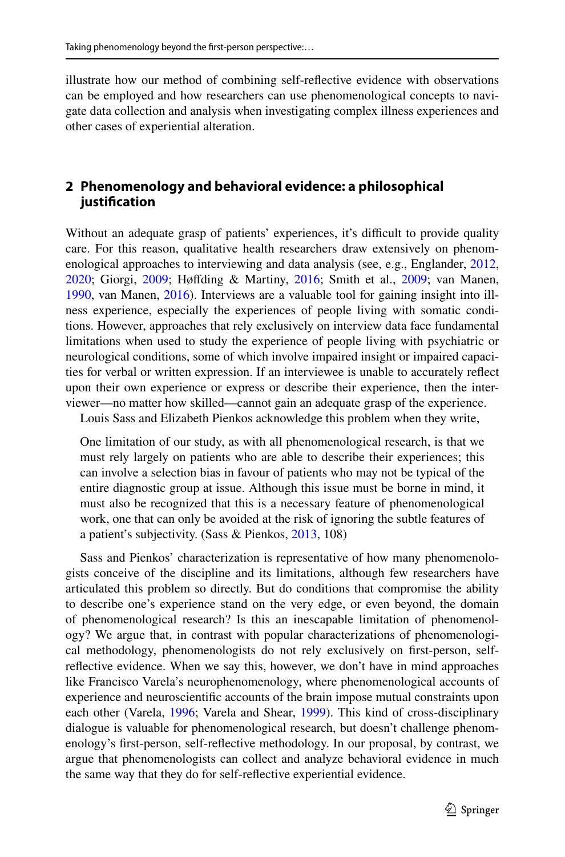illustrate how our method of combining self-refective evidence with observations can be employed and how researchers can use phenomenological concepts to navigate data collection and analysis when investigating complex illness experiences and other cases of experiential alteration.

## **2 Phenomenology and behavioral evidence: a philosophical justifcation**

Without an adequate grasp of patients' experiences, it's difficult to provide quality care. For this reason, qualitative health researchers draw extensively on phenomenological approaches to interviewing and data analysis (see, e.g., Englander, [2012,](#page-19-0) [2020](#page-19-1); Giorgi, [2009;](#page-19-2) Høfding & Martiny, [2016](#page-19-3); Smith et al., [2009](#page-19-4); van Manen, [1990](#page-19-5), van Manen, [2016](#page-19-6)). Interviews are a valuable tool for gaining insight into illness experience, especially the experiences of people living with somatic conditions. However, approaches that rely exclusively on interview data face fundamental limitations when used to study the experience of people living with psychiatric or neurological conditions, some of which involve impaired insight or impaired capacities for verbal or written expression. If an interviewee is unable to accurately refect upon their own experience or express or describe their experience, then the interviewer—no matter how skilled—cannot gain an adequate grasp of the experience.

Louis Sass and Elizabeth Pienkos acknowledge this problem when they write,

One limitation of our study, as with all phenomenological research, is that we must rely largely on patients who are able to describe their experiences; this can involve a selection bias in favour of patients who may not be typical of the entire diagnostic group at issue. Although this issue must be borne in mind, it must also be recognized that this is a necessary feature of phenomenological work, one that can only be avoided at the risk of ignoring the subtle features of a patient's subjectivity. (Sass & Pienkos, [2013,](#page-19-7) 108)

Sass and Pienkos' characterization is representative of how many phenomenologists conceive of the discipline and its limitations, although few researchers have articulated this problem so directly. But do conditions that compromise the ability to describe one's experience stand on the very edge, or even beyond, the domain of phenomenological research? Is this an inescapable limitation of phenomenology? We argue that, in contrast with popular characterizations of phenomenological methodology, phenomenologists do not rely exclusively on frst-person, selfrefective evidence. When we say this, however, we don't have in mind approaches like Francisco Varela's neurophenomenology, where phenomenological accounts of experience and neuroscientifc accounts of the brain impose mutual constraints upon each other (Varela, [1996;](#page-19-8) Varela and Shear, [1999\)](#page-20-0). This kind of cross-disciplinary dialogue is valuable for phenomenological research, but doesn't challenge phenomenology's frst-person, self-refective methodology. In our proposal, by contrast, we argue that phenomenologists can collect and analyze behavioral evidence in much the same way that they do for self-refective experiential evidence.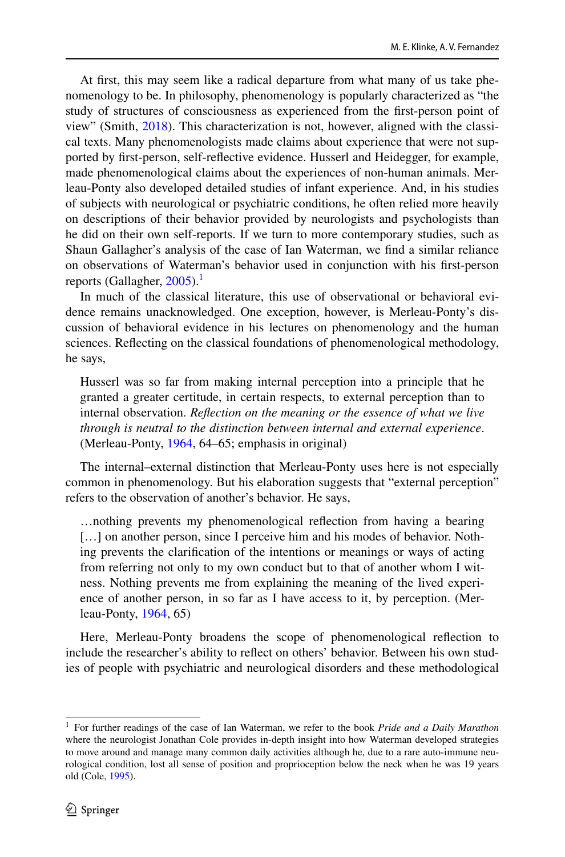At frst, this may seem like a radical departure from what many of us take phenomenology to be. In philosophy, phenomenology is popularly characterized as "the study of structures of consciousness as experienced from the frst-person point of view" (Smith, [2018\)](#page-19-9). This characterization is not, however, aligned with the classical texts. Many phenomenologists made claims about experience that were not supported by frst-person, self-refective evidence. Husserl and Heidegger, for example, made phenomenological claims about the experiences of non-human animals. Merleau-Ponty also developed detailed studies of infant experience. And, in his studies of subjects with neurological or psychiatric conditions, he often relied more heavily on descriptions of their behavior provided by neurologists and psychologists than he did on their own self-reports. If we turn to more contemporary studies, such as Shaun Gallagher's analysis of the case of Ian Waterman, we fnd a similar reliance on observations of Waterman's behavior used in conjunction with his frst-person reports (Gallagher,  $2005$ ).<sup>[1](#page-3-0)</sup>

In much of the classical literature, this use of observational or behavioral evidence remains unacknowledged. One exception, however, is Merleau-Ponty's discussion of behavioral evidence in his lectures on phenomenology and the human sciences. Refecting on the classical foundations of phenomenological methodology, he says,

Husserl was so far from making internal perception into a principle that he granted a greater certitude, in certain respects, to external perception than to internal observation. *Refection on the meaning or the essence of what we live through is neutral to the distinction between internal and external experience*. (Merleau-Ponty, [1964,](#page-19-11) 64–65; emphasis in original)

The internal–external distinction that Merleau-Ponty uses here is not especially common in phenomenology. But his elaboration suggests that "external perception" refers to the observation of another's behavior. He says,

…nothing prevents my phenomenological refection from having a bearing [...] on another person, since I perceive him and his modes of behavior. Nothing prevents the clarifcation of the intentions or meanings or ways of acting from referring not only to my own conduct but to that of another whom I witness. Nothing prevents me from explaining the meaning of the lived experience of another person, in so far as I have access to it, by perception. (Merleau-Ponty, [1964](#page-19-11), 65)

Here, Merleau-Ponty broadens the scope of phenomenological refection to include the researcher's ability to refect on others' behavior. Between his own studies of people with psychiatric and neurological disorders and these methodological

<span id="page-3-0"></span><sup>1</sup> For further readings of the case of Ian Waterman, we refer to the book *Pride and a Daily Marathon* where the neurologist Jonathan Cole provides in-depth insight into how Waterman developed strategies to move around and manage many common daily activities although he, due to a rare auto-immune neurological condition, lost all sense of position and proprioception below the neck when he was 19 years old (Cole, [1995](#page-18-0)).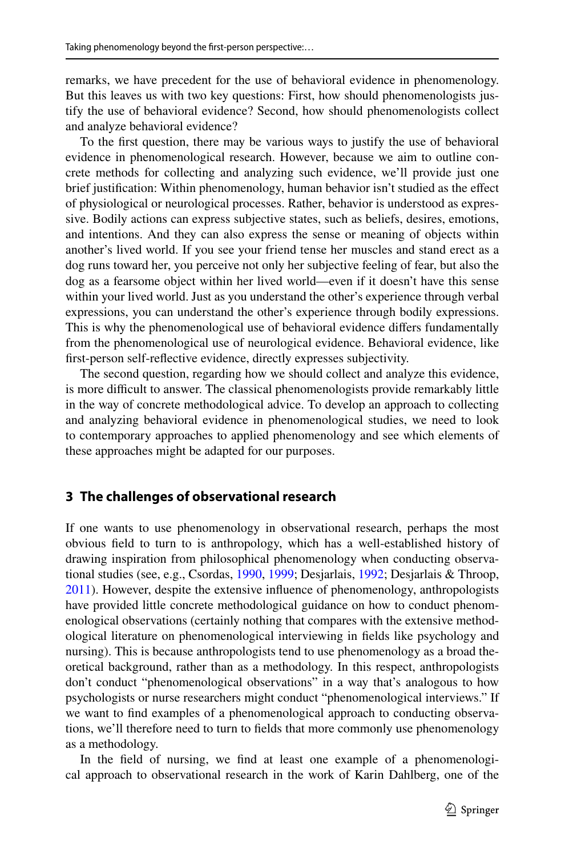remarks, we have precedent for the use of behavioral evidence in phenomenology. But this leaves us with two key questions: First, how should phenomenologists justify the use of behavioral evidence? Second, how should phenomenologists collect and analyze behavioral evidence?

To the frst question, there may be various ways to justify the use of behavioral evidence in phenomenological research. However, because we aim to outline concrete methods for collecting and analyzing such evidence, we'll provide just one brief justifcation: Within phenomenology, human behavior isn't studied as the efect of physiological or neurological processes. Rather, behavior is understood as expressive. Bodily actions can express subjective states, such as beliefs, desires, emotions, and intentions. And they can also express the sense or meaning of objects within another's lived world. If you see your friend tense her muscles and stand erect as a dog runs toward her, you perceive not only her subjective feeling of fear, but also the dog as a fearsome object within her lived world—even if it doesn't have this sense within your lived world. Just as you understand the other's experience through verbal expressions, you can understand the other's experience through bodily expressions. This is why the phenomenological use of behavioral evidence difers fundamentally from the phenomenological use of neurological evidence. Behavioral evidence, like frst-person self-refective evidence, directly expresses subjectivity.

The second question, regarding how we should collect and analyze this evidence, is more difficult to answer. The classical phenomenologists provide remarkably little in the way of concrete methodological advice. To develop an approach to collecting and analyzing behavioral evidence in phenomenological studies, we need to look to contemporary approaches to applied phenomenology and see which elements of these approaches might be adapted for our purposes.

### **3 The challenges of observational research**

If one wants to use phenomenology in observational research, perhaps the most obvious feld to turn to is anthropology, which has a well-established history of drawing inspiration from philosophical phenomenology when conducting observational studies (see, e.g., Csordas, [1990,](#page-18-1) [1999;](#page-18-2) Desjarlais, [1992;](#page-19-12) Desjarlais & Throop, [2011](#page-19-13)). However, despite the extensive infuence of phenomenology, anthropologists have provided little concrete methodological guidance on how to conduct phenomenological observations (certainly nothing that compares with the extensive methodological literature on phenomenological interviewing in felds like psychology and nursing). This is because anthropologists tend to use phenomenology as a broad theoretical background, rather than as a methodology. In this respect, anthropologists don't conduct "phenomenological observations" in a way that's analogous to how psychologists or nurse researchers might conduct "phenomenological interviews." If we want to fnd examples of a phenomenological approach to conducting observations, we'll therefore need to turn to felds that more commonly use phenomenology as a methodology.

In the feld of nursing, we fnd at least one example of a phenomenological approach to observational research in the work of Karin Dahlberg, one of the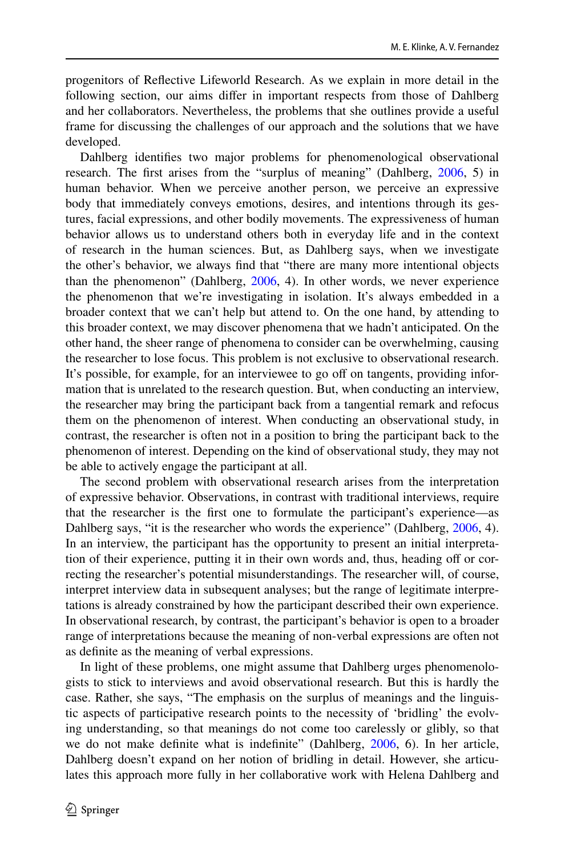progenitors of Refective Lifeworld Research. As we explain in more detail in the following section, our aims difer in important respects from those of Dahlberg and her collaborators. Nevertheless, the problems that she outlines provide a useful frame for discussing the challenges of our approach and the solutions that we have developed.

Dahlberg identifes two major problems for phenomenological observational research. The frst arises from the "surplus of meaning" (Dahlberg, [2006,](#page-19-14) 5) in human behavior. When we perceive another person, we perceive an expressive body that immediately conveys emotions, desires, and intentions through its gestures, facial expressions, and other bodily movements. The expressiveness of human behavior allows us to understand others both in everyday life and in the context of research in the human sciences. But, as Dahlberg says, when we investigate the other's behavior, we always fnd that "there are many more intentional objects than the phenomenon" (Dahlberg, [2006](#page-19-14), 4). In other words, we never experience the phenomenon that we're investigating in isolation. It's always embedded in a broader context that we can't help but attend to. On the one hand, by attending to this broader context, we may discover phenomena that we hadn't anticipated. On the other hand, the sheer range of phenomena to consider can be overwhelming, causing the researcher to lose focus. This problem is not exclusive to observational research. It's possible, for example, for an interviewee to go of on tangents, providing information that is unrelated to the research question. But, when conducting an interview, the researcher may bring the participant back from a tangential remark and refocus them on the phenomenon of interest. When conducting an observational study, in contrast, the researcher is often not in a position to bring the participant back to the phenomenon of interest. Depending on the kind of observational study, they may not be able to actively engage the participant at all.

The second problem with observational research arises from the interpretation of expressive behavior. Observations, in contrast with traditional interviews, require that the researcher is the frst one to formulate the participant's experience—as Dahlberg says, "it is the researcher who words the experience" (Dahlberg, [2006](#page-19-14), 4). In an interview, the participant has the opportunity to present an initial interpretation of their experience, putting it in their own words and, thus, heading of or correcting the researcher's potential misunderstandings. The researcher will, of course, interpret interview data in subsequent analyses; but the range of legitimate interpretations is already constrained by how the participant described their own experience. In observational research, by contrast, the participant's behavior is open to a broader range of interpretations because the meaning of non-verbal expressions are often not as defnite as the meaning of verbal expressions.

In light of these problems, one might assume that Dahlberg urges phenomenologists to stick to interviews and avoid observational research. But this is hardly the case. Rather, she says, "The emphasis on the surplus of meanings and the linguistic aspects of participative research points to the necessity of 'bridling' the evolving understanding, so that meanings do not come too carelessly or glibly, so that we do not make defnite what is indefnite" (Dahlberg, [2006](#page-19-14), 6). In her article, Dahlberg doesn't expand on her notion of bridling in detail. However, she articulates this approach more fully in her collaborative work with Helena Dahlberg and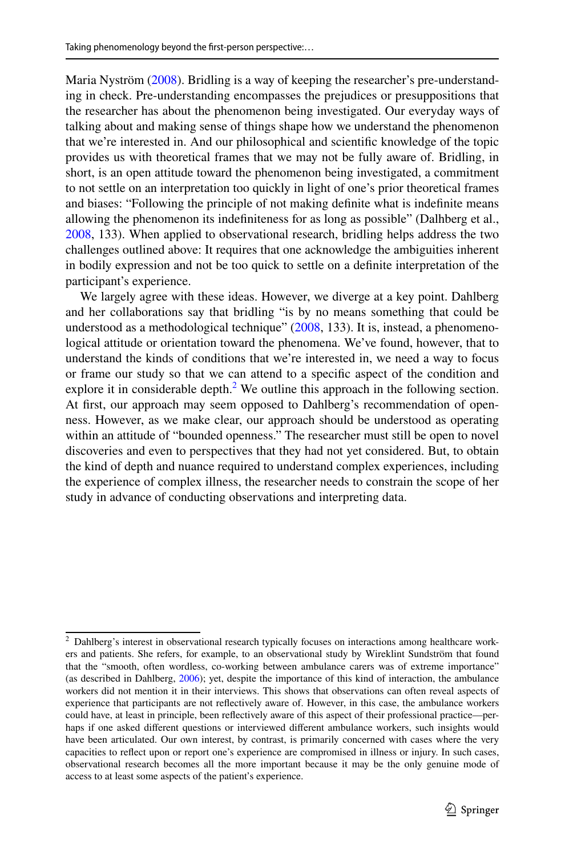Maria Nyström ([2008\)](#page-19-15). Bridling is a way of keeping the researcher's pre-understanding in check. Pre-understanding encompasses the prejudices or presuppositions that the researcher has about the phenomenon being investigated. Our everyday ways of talking about and making sense of things shape how we understand the phenomenon that we're interested in. And our philosophical and scientifc knowledge of the topic provides us with theoretical frames that we may not be fully aware of. Bridling, in short, is an open attitude toward the phenomenon being investigated, a commitment to not settle on an interpretation too quickly in light of one's prior theoretical frames and biases: "Following the principle of not making defnite what is indefnite means allowing the phenomenon its indefniteness for as long as possible" (Dalhberg et al., [2008](#page-19-15), 133). When applied to observational research, bridling helps address the two challenges outlined above: It requires that one acknowledge the ambiguities inherent in bodily expression and not be too quick to settle on a defnite interpretation of the participant's experience.

We largely agree with these ideas. However, we diverge at a key point. Dahlberg and her collaborations say that bridling "is by no means something that could be understood as a methodological technique" [\(2008](#page-19-15), 133). It is, instead, a phenomenological attitude or orientation toward the phenomena. We've found, however, that to understand the kinds of conditions that we're interested in, we need a way to focus or frame our study so that we can attend to a specifc aspect of the condition and explore it in considerable depth. $2$  We outline this approach in the following section. At frst, our approach may seem opposed to Dahlberg's recommendation of openness. However, as we make clear, our approach should be understood as operating within an attitude of "bounded openness." The researcher must still be open to novel discoveries and even to perspectives that they had not yet considered. But, to obtain the kind of depth and nuance required to understand complex experiences, including the experience of complex illness, the researcher needs to constrain the scope of her study in advance of conducting observations and interpreting data.

<span id="page-6-0"></span><sup>&</sup>lt;sup>2</sup> Dahlberg's interest in observational research typically focuses on interactions among healthcare workers and patients. She refers, for example, to an observational study by Wireklint Sundström that found that the "smooth, often wordless, co-working between ambulance carers was of extreme importance" (as described in Dahlberg, [2006](#page-19-14)); yet, despite the importance of this kind of interaction, the ambulance workers did not mention it in their interviews. This shows that observations can often reveal aspects of experience that participants are not refectively aware of. However, in this case, the ambulance workers could have, at least in principle, been refectively aware of this aspect of their professional practice—perhaps if one asked diferent questions or interviewed diferent ambulance workers, such insights would have been articulated. Our own interest, by contrast, is primarily concerned with cases where the very capacities to refect upon or report one's experience are compromised in illness or injury. In such cases, observational research becomes all the more important because it may be the only genuine mode of access to at least some aspects of the patient's experience.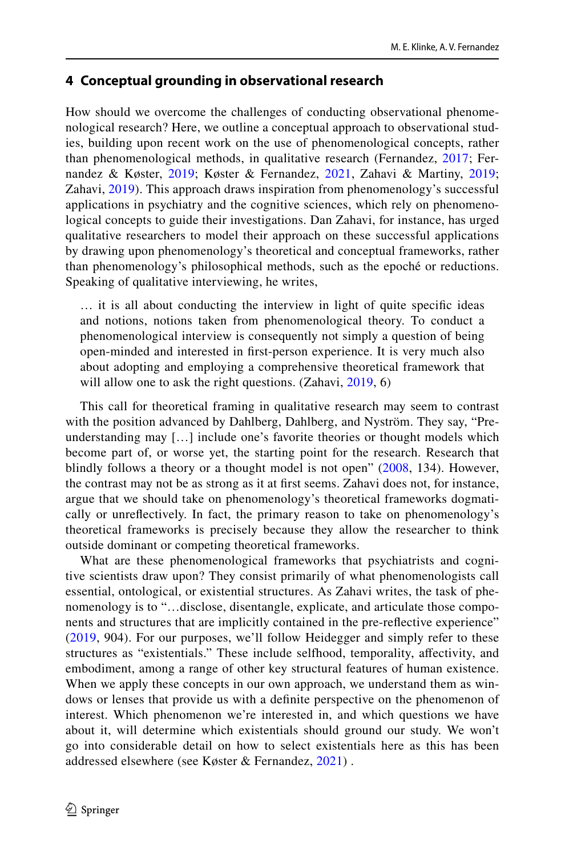## **4 Conceptual grounding in observational research**

How should we overcome the challenges of conducting observational phenomenological research? Here, we outline a conceptual approach to observational studies, building upon recent work on the use of phenomenological concepts, rather than phenomenological methods, in qualitative research (Fernandez, [2017;](#page-20-1) Fernandez & Køster, [2019;](#page-20-2) Køster & Fernandez, [2021](#page-20-3), Zahavi & Martiny, [2019;](#page-20-4) Zahavi, [2019](#page-20-5)). This approach draws inspiration from phenomenology's successful applications in psychiatry and the cognitive sciences, which rely on phenomenological concepts to guide their investigations. Dan Zahavi, for instance, has urged qualitative researchers to model their approach on these successful applications by drawing upon phenomenology's theoretical and conceptual frameworks, rather than phenomenology's philosophical methods, such as the epoché or reductions. Speaking of qualitative interviewing, he writes,

… it is all about conducting the interview in light of quite specifc ideas and notions, notions taken from phenomenological theory. To conduct a phenomenological interview is consequently not simply a question of being open-minded and interested in frst-person experience. It is very much also about adopting and employing a comprehensive theoretical framework that will allow one to ask the right questions. (Zahavi, [2019,](#page-20-5) 6)

This call for theoretical framing in qualitative research may seem to contrast with the position advanced by Dahlberg, Dahlberg, and Nyström. They say, "Preunderstanding may […] include one's favorite theories or thought models which become part of, or worse yet, the starting point for the research. Research that blindly follows a theory or a thought model is not open" ([2008](#page-19-15), 134). However, the contrast may not be as strong as it at frst seems. Zahavi does not, for instance, argue that we should take on phenomenology's theoretical frameworks dogmatically or unrefectively. In fact, the primary reason to take on phenomenology's theoretical frameworks is precisely because they allow the researcher to think outside dominant or competing theoretical frameworks.

What are these phenomenological frameworks that psychiatrists and cognitive scientists draw upon? They consist primarily of what phenomenologists call essential, ontological, or existential structures. As Zahavi writes, the task of phenomenology is to "…disclose, disentangle, explicate, and articulate those components and structures that are implicitly contained in the pre-refective experience" [\(2019](#page-20-5), 904). For our purposes, we'll follow Heidegger and simply refer to these structures as "existentials." These include selfhood, temporality, afectivity, and embodiment, among a range of other key structural features of human existence. When we apply these concepts in our own approach, we understand them as windows or lenses that provide us with a defnite perspective on the phenomenon of interest. Which phenomenon we're interested in, and which questions we have about it, will determine which existentials should ground our study. We won't go into considerable detail on how to select existentials here as this has been addressed elsewhere (see Køster & Fernandez, [2021\)](#page-20-3) .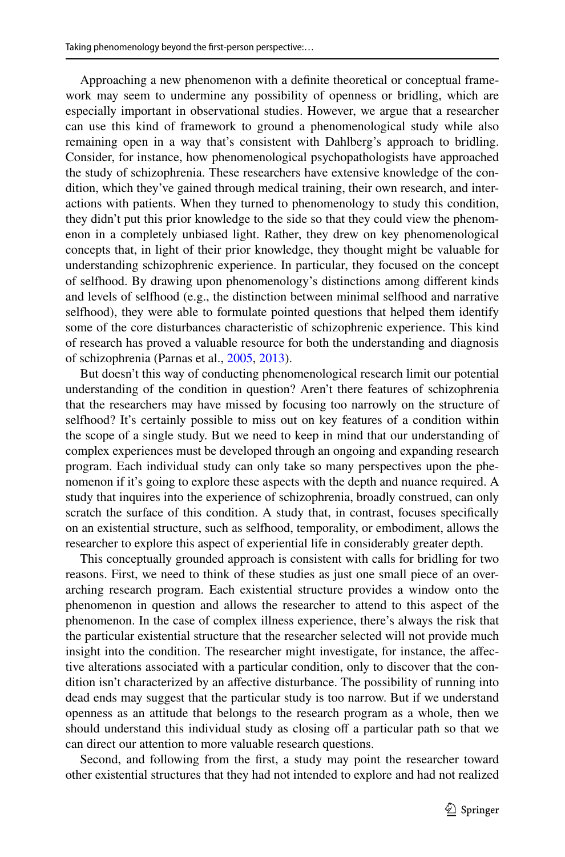Approaching a new phenomenon with a defnite theoretical or conceptual framework may seem to undermine any possibility of openness or bridling, which are especially important in observational studies. However, we argue that a researcher can use this kind of framework to ground a phenomenological study while also remaining open in a way that's consistent with Dahlberg's approach to bridling. Consider, for instance, how phenomenological psychopathologists have approached the study of schizophrenia. These researchers have extensive knowledge of the condition, which they've gained through medical training, their own research, and interactions with patients. When they turned to phenomenology to study this condition, they didn't put this prior knowledge to the side so that they could view the phenomenon in a completely unbiased light. Rather, they drew on key phenomenological concepts that, in light of their prior knowledge, they thought might be valuable for understanding schizophrenic experience. In particular, they focused on the concept of selfhood. By drawing upon phenomenology's distinctions among diferent kinds and levels of selfhood (e.g., the distinction between minimal selfhood and narrative selfhood), they were able to formulate pointed questions that helped them identify some of the core disturbances characteristic of schizophrenic experience. This kind of research has proved a valuable resource for both the understanding and diagnosis of schizophrenia (Parnas et al., [2005,](#page-19-16) [2013\)](#page-19-17).

But doesn't this way of conducting phenomenological research limit our potential understanding of the condition in question? Aren't there features of schizophrenia that the researchers may have missed by focusing too narrowly on the structure of selfhood? It's certainly possible to miss out on key features of a condition within the scope of a single study. But we need to keep in mind that our understanding of complex experiences must be developed through an ongoing and expanding research program. Each individual study can only take so many perspectives upon the phenomenon if it's going to explore these aspects with the depth and nuance required. A study that inquires into the experience of schizophrenia, broadly construed, can only scratch the surface of this condition. A study that, in contrast, focuses specifcally on an existential structure, such as selfhood, temporality, or embodiment, allows the researcher to explore this aspect of experiential life in considerably greater depth.

This conceptually grounded approach is consistent with calls for bridling for two reasons. First, we need to think of these studies as just one small piece of an overarching research program. Each existential structure provides a window onto the phenomenon in question and allows the researcher to attend to this aspect of the phenomenon. In the case of complex illness experience, there's always the risk that the particular existential structure that the researcher selected will not provide much insight into the condition. The researcher might investigate, for instance, the afective alterations associated with a particular condition, only to discover that the condition isn't characterized by an affective disturbance. The possibility of running into dead ends may suggest that the particular study is too narrow. But if we understand openness as an attitude that belongs to the research program as a whole, then we should understand this individual study as closing off a particular path so that we can direct our attention to more valuable research questions.

Second, and following from the frst, a study may point the researcher toward other existential structures that they had not intended to explore and had not realized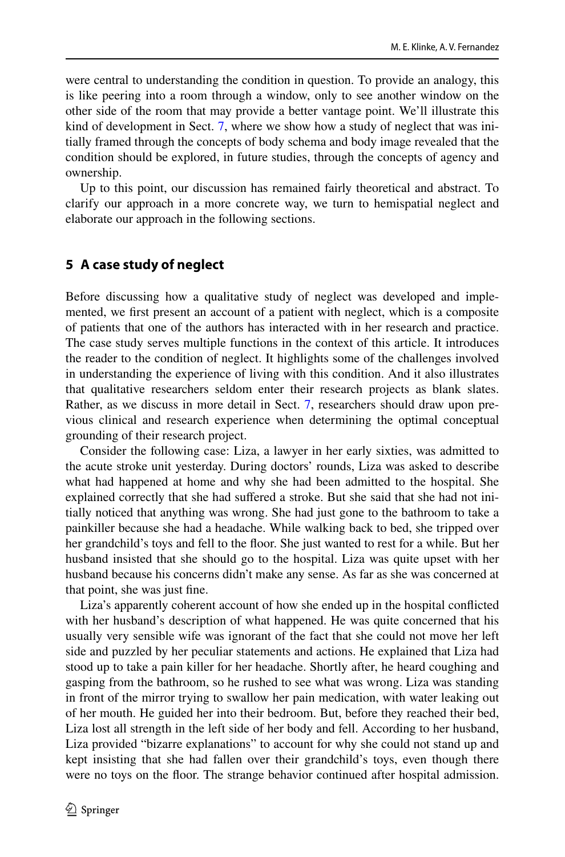were central to understanding the condition in question. To provide an analogy, this is like peering into a room through a window, only to see another window on the other side of the room that may provide a better vantage point. We'll illustrate this kind of development in Sect. [7,](#page-12-0) where we show how a study of neglect that was initially framed through the concepts of body schema and body image revealed that the condition should be explored, in future studies, through the concepts of agency and ownership.

Up to this point, our discussion has remained fairly theoretical and abstract. To clarify our approach in a more concrete way, we turn to hemispatial neglect and elaborate our approach in the following sections.

## **5 A case study of neglect**

Before discussing how a qualitative study of neglect was developed and implemented, we frst present an account of a patient with neglect, which is a composite of patients that one of the authors has interacted with in her research and practice. The case study serves multiple functions in the context of this article. It introduces the reader to the condition of neglect. It highlights some of the challenges involved in understanding the experience of living with this condition. And it also illustrates that qualitative researchers seldom enter their research projects as blank slates. Rather, as we discuss in more detail in Sect. [7,](#page-12-0) researchers should draw upon previous clinical and research experience when determining the optimal conceptual grounding of their research project.

Consider the following case: Liza, a lawyer in her early sixties, was admitted to the acute stroke unit yesterday. During doctors' rounds, Liza was asked to describe what had happened at home and why she had been admitted to the hospital. She explained correctly that she had suffered a stroke. But she said that she had not initially noticed that anything was wrong. She had just gone to the bathroom to take a painkiller because she had a headache. While walking back to bed, she tripped over her grandchild's toys and fell to the foor. She just wanted to rest for a while. But her husband insisted that she should go to the hospital. Liza was quite upset with her husband because his concerns didn't make any sense. As far as she was concerned at that point, she was just fne.

Liza's apparently coherent account of how she ended up in the hospital conficted with her husband's description of what happened. He was quite concerned that his usually very sensible wife was ignorant of the fact that she could not move her left side and puzzled by her peculiar statements and actions. He explained that Liza had stood up to take a pain killer for her headache. Shortly after, he heard coughing and gasping from the bathroom, so he rushed to see what was wrong. Liza was standing in front of the mirror trying to swallow her pain medication, with water leaking out of her mouth. He guided her into their bedroom. But, before they reached their bed, Liza lost all strength in the left side of her body and fell. According to her husband, Liza provided "bizarre explanations" to account for why she could not stand up and kept insisting that she had fallen over their grandchild's toys, even though there were no toys on the floor. The strange behavior continued after hospital admission.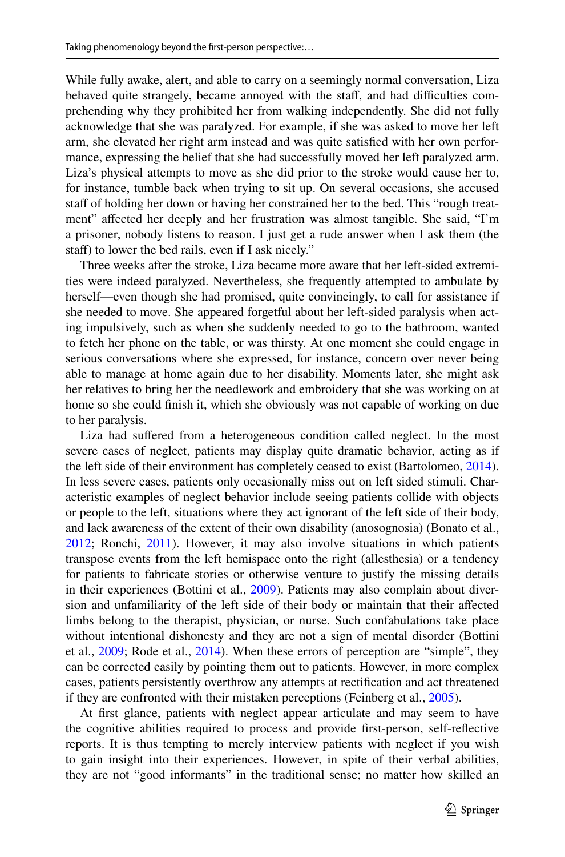While fully awake, alert, and able to carry on a seemingly normal conversation, Liza behaved quite strangely, became annoyed with the staff, and had difficulties comprehending why they prohibited her from walking independently. She did not fully acknowledge that she was paralyzed. For example, if she was asked to move her left arm, she elevated her right arm instead and was quite satisfed with her own performance, expressing the belief that she had successfully moved her left paralyzed arm. Liza's physical attempts to move as she did prior to the stroke would cause her to, for instance, tumble back when trying to sit up. On several occasions, she accused staff of holding her down or having her constrained her to the bed. This "rough treatment" affected her deeply and her frustration was almost tangible. She said, "I'm a prisoner, nobody listens to reason. I just get a rude answer when I ask them (the staff) to lower the bed rails, even if I ask nicely."

Three weeks after the stroke, Liza became more aware that her left-sided extremities were indeed paralyzed. Nevertheless, she frequently attempted to ambulate by herself—even though she had promised, quite convincingly, to call for assistance if she needed to move. She appeared forgetful about her left-sided paralysis when acting impulsively, such as when she suddenly needed to go to the bathroom, wanted to fetch her phone on the table, or was thirsty. At one moment she could engage in serious conversations where she expressed, for instance, concern over never being able to manage at home again due to her disability. Moments later, she might ask her relatives to bring her the needlework and embroidery that she was working on at home so she could fnish it, which she obviously was not capable of working on due to her paralysis.

Liza had sufered from a heterogeneous condition called neglect. In the most severe cases of neglect, patients may display quite dramatic behavior, acting as if the left side of their environment has completely ceased to exist (Bartolomeo, [2014\)](#page-18-3). In less severe cases, patients only occasionally miss out on left sided stimuli. Characteristic examples of neglect behavior include seeing patients collide with objects or people to the left, situations where they act ignorant of the left side of their body, and lack awareness of the extent of their own disability (anosognosia) (Bonato et al., [2012](#page-18-4); Ronchi, [2011\)](#page-19-18). However, it may also involve situations in which patients transpose events from the left hemispace onto the right (allesthesia) or a tendency for patients to fabricate stories or otherwise venture to justify the missing details in their experiences (Bottini et al., [2009\)](#page-18-5). Patients may also complain about diversion and unfamiliarity of the left side of their body or maintain that their afected limbs belong to the therapist, physician, or nurse. Such confabulations take place without intentional dishonesty and they are not a sign of mental disorder (Bottini et al., [2009;](#page-18-5) Rode et al., [2014\)](#page-19-19). When these errors of perception are "simple", they can be corrected easily by pointing them out to patients. However, in more complex cases, patients persistently overthrow any attempts at rectifcation and act threatened if they are confronted with their mistaken perceptions (Feinberg et al., [2005\)](#page-19-20).

At frst glance, patients with neglect appear articulate and may seem to have the cognitive abilities required to process and provide frst-person, self-refective reports. It is thus tempting to merely interview patients with neglect if you wish to gain insight into their experiences. However, in spite of their verbal abilities, they are not "good informants" in the traditional sense; no matter how skilled an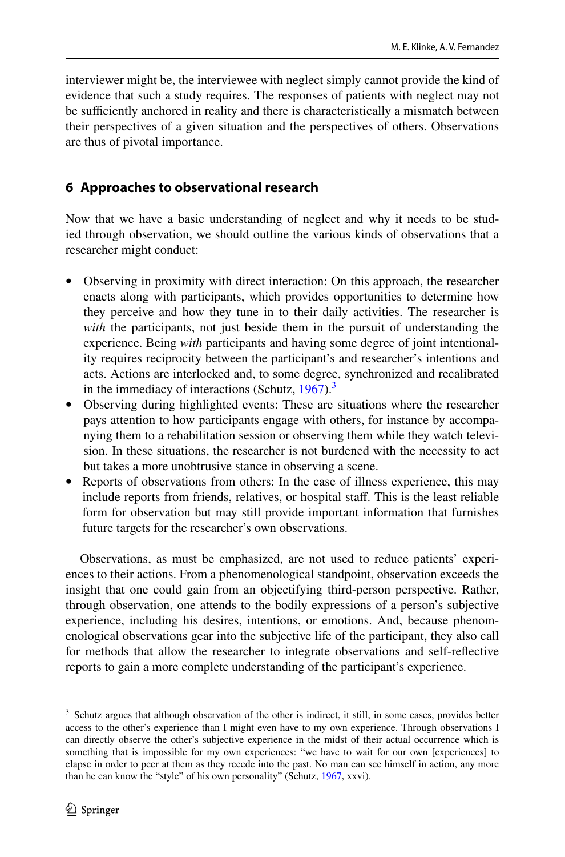interviewer might be, the interviewee with neglect simply cannot provide the kind of evidence that such a study requires. The responses of patients with neglect may not be sufficiently anchored in reality and there is characteristically a mismatch between their perspectives of a given situation and the perspectives of others. Observations are thus of pivotal importance.

## **6 Approaches to observational research**

Now that we have a basic understanding of neglect and why it needs to be studied through observation, we should outline the various kinds of observations that a researcher might conduct:

- Observing in proximity with direct interaction: On this approach, the researcher enacts along with participants, which provides opportunities to determine how they perceive and how they tune in to their daily activities. The researcher is *with* the participants, not just beside them in the pursuit of understanding the experience. Being *with* participants and having some degree of joint intentionality requires reciprocity between the participant's and researcher's intentions and acts. Actions are interlocked and, to some degree, synchronized and recalibrated in the immediacy of interactions (Schutz,  $1967$ ).<sup>3</sup>
- Observing during highlighted events: These are situations where the researcher pays attention to how participants engage with others, for instance by accompanying them to a rehabilitation session or observing them while they watch television. In these situations, the researcher is not burdened with the necessity to act but takes a more unobtrusive stance in observing a scene.
- Reports of observations from others: In the case of illness experience, this may include reports from friends, relatives, or hospital staff. This is the least reliable form for observation but may still provide important information that furnishes future targets for the researcher's own observations.

Observations, as must be emphasized, are not used to reduce patients' experiences to their actions. From a phenomenological standpoint, observation exceeds the insight that one could gain from an objectifying third-person perspective. Rather, through observation, one attends to the bodily expressions of a person's subjective experience, including his desires, intentions, or emotions. And, because phenomenological observations gear into the subjective life of the participant, they also call for methods that allow the researcher to integrate observations and self-refective reports to gain a more complete understanding of the participant's experience.

<span id="page-11-0"></span><sup>&</sup>lt;sup>3</sup> Schutz argues that although observation of the other is indirect, it still, in some cases, provides better access to the other's experience than I might even have to my own experience. Through observations I can directly observe the other's subjective experience in the midst of their actual occurrence which is something that is impossible for my own experiences: "we have to wait for our own [experiences] to elapse in order to peer at them as they recede into the past. No man can see himself in action, any more than he can know the "style" of his own personality" (Schutz, [1967,](#page-19-21) xxvi).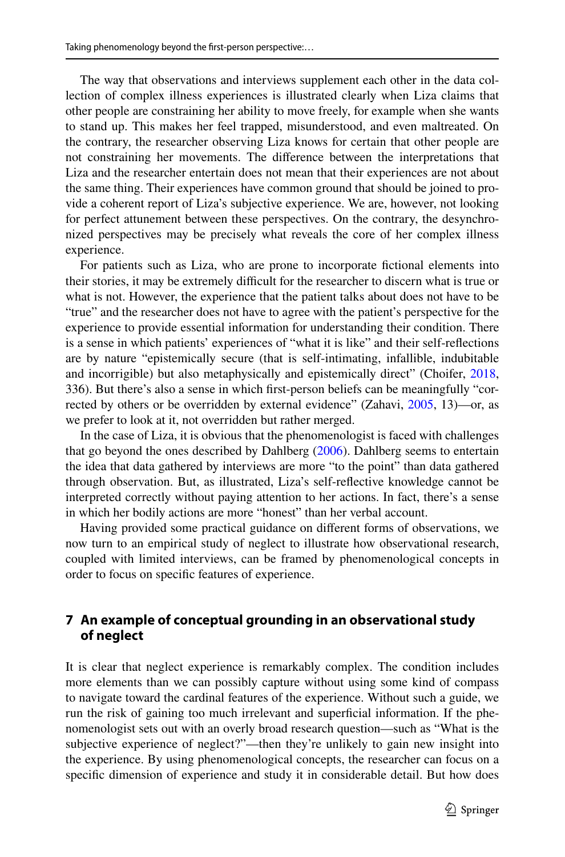The way that observations and interviews supplement each other in the data collection of complex illness experiences is illustrated clearly when Liza claims that other people are constraining her ability to move freely, for example when she wants to stand up. This makes her feel trapped, misunderstood, and even maltreated. On the contrary, the researcher observing Liza knows for certain that other people are not constraining her movements. The diference between the interpretations that Liza and the researcher entertain does not mean that their experiences are not about the same thing. Their experiences have common ground that should be joined to provide a coherent report of Liza's subjective experience. We are, however, not looking for perfect attunement between these perspectives. On the contrary, the desynchronized perspectives may be precisely what reveals the core of her complex illness experience.

For patients such as Liza, who are prone to incorporate fctional elements into their stories, it may be extremely difficult for the researcher to discern what is true or what is not. However, the experience that the patient talks about does not have to be "true" and the researcher does not have to agree with the patient's perspective for the experience to provide essential information for understanding their condition. There is a sense in which patients' experiences of "what it is like" and their self-refections are by nature "epistemically secure (that is self-intimating, infallible, indubitable and incorrigible) but also metaphysically and epistemically direct" (Choifer, [2018,](#page-18-6) 336). But there's also a sense in which frst-person beliefs can be meaningfully "cor-rected by others or be overridden by external evidence" (Zahavi, [2005](#page-20-6), 13)—or, as we prefer to look at it, not overridden but rather merged.

In the case of Liza, it is obvious that the phenomenologist is faced with challenges that go beyond the ones described by Dahlberg ([2006\)](#page-19-14). Dahlberg seems to entertain the idea that data gathered by interviews are more "to the point" than data gathered through observation. But, as illustrated, Liza's self-refective knowledge cannot be interpreted correctly without paying attention to her actions. In fact, there's a sense in which her bodily actions are more "honest" than her verbal account.

Having provided some practical guidance on diferent forms of observations, we now turn to an empirical study of neglect to illustrate how observational research, coupled with limited interviews, can be framed by phenomenological concepts in order to focus on specifc features of experience.

## <span id="page-12-0"></span>**7 An example of conceptual grounding in an observational study of neglect**

It is clear that neglect experience is remarkably complex. The condition includes more elements than we can possibly capture without using some kind of compass to navigate toward the cardinal features of the experience. Without such a guide, we run the risk of gaining too much irrelevant and superfcial information. If the phenomenologist sets out with an overly broad research question—such as "What is the subjective experience of neglect?"—then they're unlikely to gain new insight into the experience. By using phenomenological concepts, the researcher can focus on a specifc dimension of experience and study it in considerable detail. But how does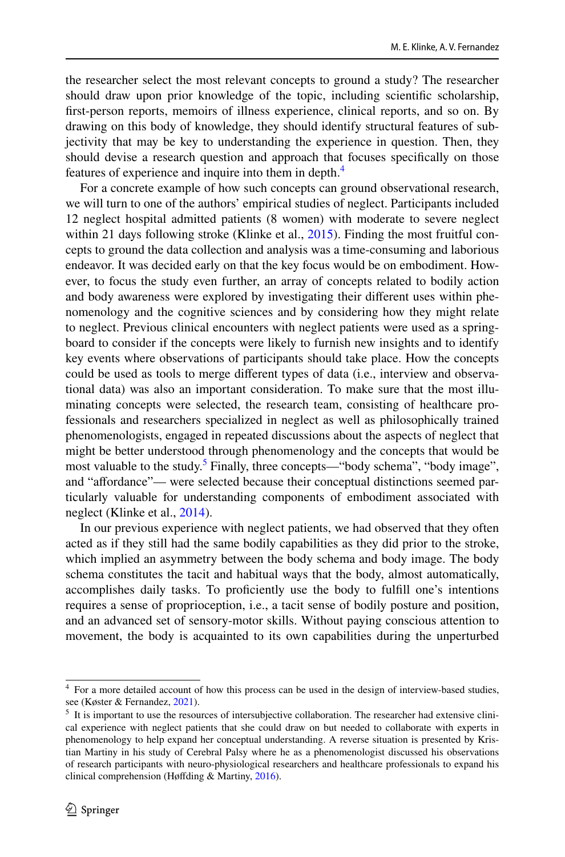the researcher select the most relevant concepts to ground a study? The researcher should draw upon prior knowledge of the topic, including scientifc scholarship, frst-person reports, memoirs of illness experience, clinical reports, and so on. By drawing on this body of knowledge, they should identify structural features of subjectivity that may be key to understanding the experience in question. Then, they should devise a research question and approach that focuses specifcally on those features of experience and inquire into them in depth.<sup>[4](#page-13-0)</sup>

For a concrete example of how such concepts can ground observational research, we will turn to one of the authors' empirical studies of neglect. Participants included 12 neglect hospital admitted patients (8 women) with moderate to severe neglect within 21 days following stroke (Klinke et al., [2015](#page-20-7)). Finding the most fruitful concepts to ground the data collection and analysis was a time-consuming and laborious endeavor. It was decided early on that the key focus would be on embodiment. However, to focus the study even further, an array of concepts related to bodily action and body awareness were explored by investigating their diferent uses within phenomenology and the cognitive sciences and by considering how they might relate to neglect. Previous clinical encounters with neglect patients were used as a springboard to consider if the concepts were likely to furnish new insights and to identify key events where observations of participants should take place. How the concepts could be used as tools to merge diferent types of data (i.e., interview and observational data) was also an important consideration. To make sure that the most illuminating concepts were selected, the research team, consisting of healthcare professionals and researchers specialized in neglect as well as philosophically trained phenomenologists, engaged in repeated discussions about the aspects of neglect that might be better understood through phenomenology and the concepts that would be most valuable to the study.<sup>[5](#page-13-1)</sup> Finally, three concepts—"body schema", "body image", and "afordance"— were selected because their conceptual distinctions seemed particularly valuable for understanding components of embodiment associated with neglect (Klinke et al., [2014\)](#page-20-8).

In our previous experience with neglect patients, we had observed that they often acted as if they still had the same bodily capabilities as they did prior to the stroke, which implied an asymmetry between the body schema and body image. The body schema constitutes the tacit and habitual ways that the body, almost automatically, accomplishes daily tasks. To profciently use the body to fulfll one's intentions requires a sense of proprioception, i.e., a tacit sense of bodily posture and position, and an advanced set of sensory-motor skills. Without paying conscious attention to movement, the body is acquainted to its own capabilities during the unperturbed

<span id="page-13-0"></span><sup>4</sup> For a more detailed account of how this process can be used in the design of interview-based studies, see (Køster & Fernandez, [2021\)](#page-20-3).

<span id="page-13-1"></span><sup>5</sup> It is important to use the resources of intersubjective collaboration. The researcher had extensive clinical experience with neglect patients that she could draw on but needed to collaborate with experts in phenomenology to help expand her conceptual understanding. A reverse situation is presented by Kristian Martiny in his study of Cerebral Palsy where he as a phenomenologist discussed his observations of research participants with neuro-physiological researchers and healthcare professionals to expand his clinical comprehension (Høfding & Martiny, [2016](#page-19-3)).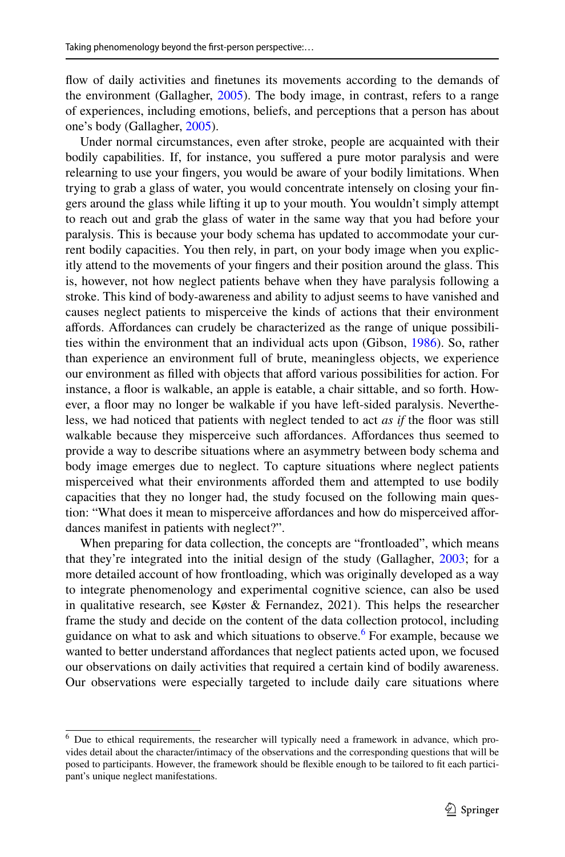fow of daily activities and fnetunes its movements according to the demands of the environment (Gallagher, [2005](#page-19-10)). The body image, in contrast, refers to a range of experiences, including emotions, beliefs, and perceptions that a person has about one's body (Gallagher, [2005](#page-19-10)).

Under normal circumstances, even after stroke, people are acquainted with their bodily capabilities. If, for instance, you suffered a pure motor paralysis and were relearning to use your fngers, you would be aware of your bodily limitations. When trying to grab a glass of water, you would concentrate intensely on closing your fngers around the glass while lifting it up to your mouth. You wouldn't simply attempt to reach out and grab the glass of water in the same way that you had before your paralysis. This is because your body schema has updated to accommodate your current bodily capacities. You then rely, in part, on your body image when you explicitly attend to the movements of your fngers and their position around the glass. This is, however, not how neglect patients behave when they have paralysis following a stroke. This kind of body-awareness and ability to adjust seems to have vanished and causes neglect patients to misperceive the kinds of actions that their environment afords. Afordances can crudely be characterized as the range of unique possibilities within the environment that an individual acts upon (Gibson, [1986\)](#page-19-22). So, rather than experience an environment full of brute, meaningless objects, we experience our environment as flled with objects that aford various possibilities for action. For instance, a floor is walkable, an apple is eatable, a chair sittable, and so forth. However, a floor may no longer be walkable if you have left-sided paralysis. Nevertheless, we had noticed that patients with neglect tended to act *as if* the foor was still walkable because they misperceive such affordances. Affordances thus seemed to provide a way to describe situations where an asymmetry between body schema and body image emerges due to neglect. To capture situations where neglect patients misperceived what their environments aforded them and attempted to use bodily capacities that they no longer had, the study focused on the following main question: "What does it mean to misperceive affordances and how do misperceived affordances manifest in patients with neglect?".

When preparing for data collection, the concepts are "frontloaded", which means that they're integrated into the initial design of the study (Gallagher, [2003;](#page-19-23) for a more detailed account of how frontloading, which was originally developed as a way to integrate phenomenology and experimental cognitive science, can also be used in qualitative research, see Køster & Fernandez, 2021). This helps the researcher frame the study and decide on the content of the data collection protocol, including guidance on what to ask and which situations to observe.<sup>[6](#page-14-0)</sup> For example, because we wanted to better understand affordances that neglect patients acted upon, we focused our observations on daily activities that required a certain kind of bodily awareness. Our observations were especially targeted to include daily care situations where

<span id="page-14-0"></span><sup>&</sup>lt;sup>6</sup> Due to ethical requirements, the researcher will typically need a framework in advance, which provides detail about the character/intimacy of the observations and the corresponding questions that will be posed to participants. However, the framework should be fexible enough to be tailored to ft each participant's unique neglect manifestations.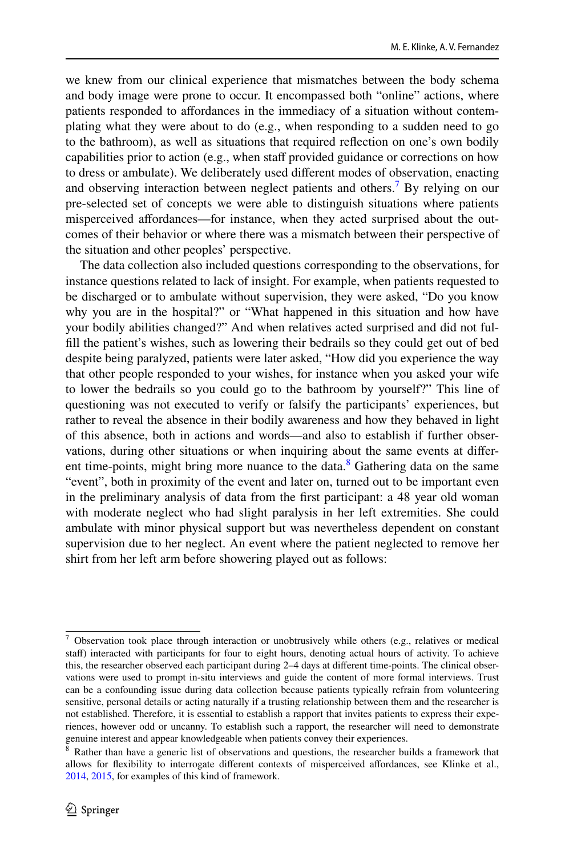we knew from our clinical experience that mismatches between the body schema and body image were prone to occur. It encompassed both "online" actions, where patients responded to affordances in the immediacy of a situation without contemplating what they were about to do (e.g., when responding to a sudden need to go to the bathroom), as well as situations that required refection on one's own bodily capabilities prior to action (e.g., when staf provided guidance or corrections on how to dress or ambulate). We deliberately used diferent modes of observation, enacting and observing interaction between neglect patients and others.<sup>[7](#page-15-0)</sup> By relying on our pre-selected set of concepts we were able to distinguish situations where patients misperceived afordances—for instance, when they acted surprised about the outcomes of their behavior or where there was a mismatch between their perspective of the situation and other peoples' perspective.

The data collection also included questions corresponding to the observations, for instance questions related to lack of insight. For example, when patients requested to be discharged or to ambulate without supervision, they were asked, "Do you know why you are in the hospital?" or "What happened in this situation and how have your bodily abilities changed?" And when relatives acted surprised and did not fulfll the patient's wishes, such as lowering their bedrails so they could get out of bed despite being paralyzed, patients were later asked, "How did you experience the way that other people responded to your wishes, for instance when you asked your wife to lower the bedrails so you could go to the bathroom by yourself?" This line of questioning was not executed to verify or falsify the participants' experiences, but rather to reveal the absence in their bodily awareness and how they behaved in light of this absence, both in actions and words—and also to establish if further observations, during other situations or when inquiring about the same events at difer-ent time-points, might bring more nuance to the data.<sup>[8](#page-15-1)</sup> Gathering data on the same "event", both in proximity of the event and later on, turned out to be important even in the preliminary analysis of data from the frst participant: a 48 year old woman with moderate neglect who had slight paralysis in her left extremities. She could ambulate with minor physical support but was nevertheless dependent on constant supervision due to her neglect. An event where the patient neglected to remove her shirt from her left arm before showering played out as follows:

<span id="page-15-0"></span> $7$  Observation took place through interaction or unobtrusively while others (e.g., relatives or medical staff) interacted with participants for four to eight hours, denoting actual hours of activity. To achieve this, the researcher observed each participant during 2–4 days at diferent time-points. The clinical observations were used to prompt in-situ interviews and guide the content of more formal interviews. Trust can be a confounding issue during data collection because patients typically refrain from volunteering sensitive, personal details or acting naturally if a trusting relationship between them and the researcher is not established. Therefore, it is essential to establish a rapport that invites patients to express their experiences, however odd or uncanny. To establish such a rapport, the researcher will need to demonstrate genuine interest and appear knowledgeable when patients convey their experiences.

<span id="page-15-1"></span><sup>8</sup> Rather than have a generic list of observations and questions, the researcher builds a framework that allows for fexibility to interrogate diferent contexts of misperceived afordances, see Klinke et al., [2014](#page-20-8), [2015](#page-20-7), for examples of this kind of framework.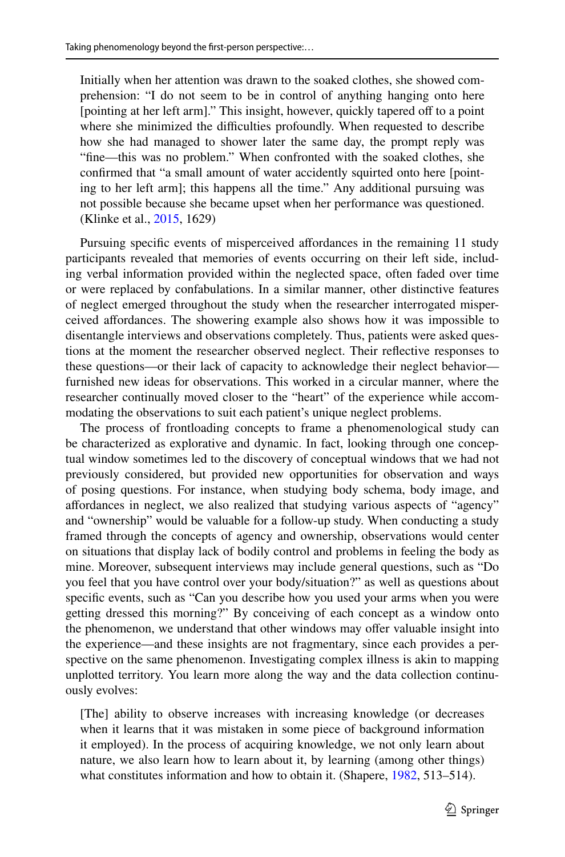Initially when her attention was drawn to the soaked clothes, she showed comprehension: "I do not seem to be in control of anything hanging onto here [pointing at her left arm]." This insight, however, quickly tapered off to a point where she minimized the difficulties profoundly. When requested to describe how she had managed to shower later the same day, the prompt reply was "fne—this was no problem." When confronted with the soaked clothes, she confrmed that "a small amount of water accidently squirted onto here [pointing to her left arm]; this happens all the time." Any additional pursuing was not possible because she became upset when her performance was questioned. (Klinke et al., [2015,](#page-20-7) 1629)

Pursuing specifc events of misperceived afordances in the remaining 11 study participants revealed that memories of events occurring on their left side, including verbal information provided within the neglected space, often faded over time or were replaced by confabulations. In a similar manner, other distinctive features of neglect emerged throughout the study when the researcher interrogated misperceived afordances. The showering example also shows how it was impossible to disentangle interviews and observations completely. Thus, patients were asked questions at the moment the researcher observed neglect. Their refective responses to these questions—or their lack of capacity to acknowledge their neglect behavior furnished new ideas for observations. This worked in a circular manner, where the researcher continually moved closer to the "heart" of the experience while accommodating the observations to suit each patient's unique neglect problems.

The process of frontloading concepts to frame a phenomenological study can be characterized as explorative and dynamic. In fact, looking through one conceptual window sometimes led to the discovery of conceptual windows that we had not previously considered, but provided new opportunities for observation and ways of posing questions. For instance, when studying body schema, body image, and afordances in neglect, we also realized that studying various aspects of "agency" and "ownership" would be valuable for a follow-up study. When conducting a study framed through the concepts of agency and ownership, observations would center on situations that display lack of bodily control and problems in feeling the body as mine. Moreover, subsequent interviews may include general questions, such as "Do you feel that you have control over your body/situation?" as well as questions about specifc events, such as "Can you describe how you used your arms when you were getting dressed this morning?" By conceiving of each concept as a window onto the phenomenon, we understand that other windows may offer valuable insight into the experience—and these insights are not fragmentary, since each provides a perspective on the same phenomenon. Investigating complex illness is akin to mapping unplotted territory. You learn more along the way and the data collection continuously evolves:

[The] ability to observe increases with increasing knowledge (or decreases when it learns that it was mistaken in some piece of background information it employed). In the process of acquiring knowledge, we not only learn about nature, we also learn how to learn about it, by learning (among other things) what constitutes information and how to obtain it. (Shapere, [1982](#page-19-24), 513–514).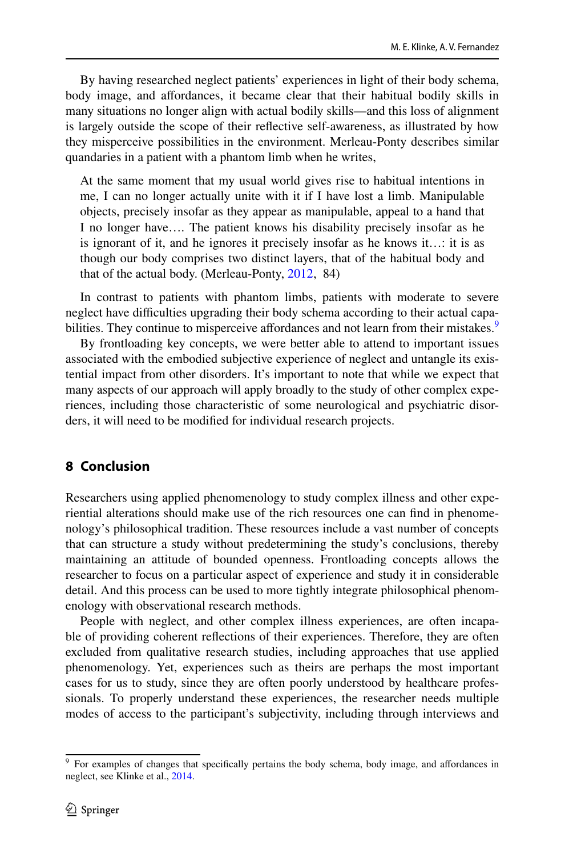By having researched neglect patients' experiences in light of their body schema, body image, and afordances, it became clear that their habitual bodily skills in many situations no longer align with actual bodily skills—and this loss of alignment is largely outside the scope of their refective self-awareness, as illustrated by how they misperceive possibilities in the environment. Merleau-Ponty describes similar quandaries in a patient with a phantom limb when he writes,

At the same moment that my usual world gives rise to habitual intentions in me, I can no longer actually unite with it if I have lost a limb. Manipulable objects, precisely insofar as they appear as manipulable, appeal to a hand that I no longer have…. The patient knows his disability precisely insofar as he is ignorant of it, and he ignores it precisely insofar as he knows it…: it is as though our body comprises two distinct layers, that of the habitual body and that of the actual body. (Merleau-Ponty, [2012,](#page-19-25) 84)

In contrast to patients with phantom limbs, patients with moderate to severe neglect have difficulties upgrading their body schema according to their actual capa-bilities. They continue to misperceive affordances and not learn from their mistakes.<sup>[9](#page-17-0)</sup>

By frontloading key concepts, we were better able to attend to important issues associated with the embodied subjective experience of neglect and untangle its existential impact from other disorders. It's important to note that while we expect that many aspects of our approach will apply broadly to the study of other complex experiences, including those characteristic of some neurological and psychiatric disorders, it will need to be modifed for individual research projects.

## **8 Conclusion**

Researchers using applied phenomenology to study complex illness and other experiential alterations should make use of the rich resources one can fnd in phenomenology's philosophical tradition. These resources include a vast number of concepts that can structure a study without predetermining the study's conclusions, thereby maintaining an attitude of bounded openness. Frontloading concepts allows the researcher to focus on a particular aspect of experience and study it in considerable detail. And this process can be used to more tightly integrate philosophical phenomenology with observational research methods.

People with neglect, and other complex illness experiences, are often incapable of providing coherent refections of their experiences. Therefore, they are often excluded from qualitative research studies, including approaches that use applied phenomenology. Yet, experiences such as theirs are perhaps the most important cases for us to study, since they are often poorly understood by healthcare professionals. To properly understand these experiences, the researcher needs multiple modes of access to the participant's subjectivity, including through interviews and

<span id="page-17-0"></span><sup>&</sup>lt;sup>9</sup> For examples of changes that specifically pertains the body schema, body image, and affordances in neglect, see Klinke et al., [2014](#page-20-8).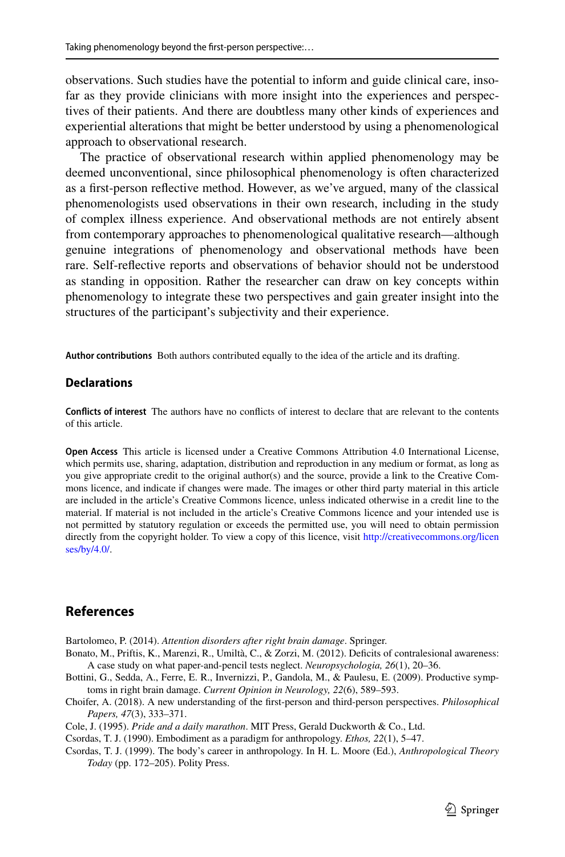observations. Such studies have the potential to inform and guide clinical care, insofar as they provide clinicians with more insight into the experiences and perspectives of their patients. And there are doubtless many other kinds of experiences and experiential alterations that might be better understood by using a phenomenological approach to observational research.

The practice of observational research within applied phenomenology may be deemed unconventional, since philosophical phenomenology is often characterized as a frst-person refective method. However, as we've argued, many of the classical phenomenologists used observations in their own research, including in the study of complex illness experience. And observational methods are not entirely absent from contemporary approaches to phenomenological qualitative research—although genuine integrations of phenomenology and observational methods have been rare. Self-refective reports and observations of behavior should not be understood as standing in opposition. Rather the researcher can draw on key concepts within phenomenology to integrate these two perspectives and gain greater insight into the structures of the participant's subjectivity and their experience.

**Author contributions** Both authors contributed equally to the idea of the article and its drafting.

### **Declarations**

**Conficts of interest** The authors have no conficts of interest to declare that are relevant to the contents of this article.

**Open Access** This article is licensed under a Creative Commons Attribution 4.0 International License, which permits use, sharing, adaptation, distribution and reproduction in any medium or format, as long as you give appropriate credit to the original author(s) and the source, provide a link to the Creative Commons licence, and indicate if changes were made. The images or other third party material in this article are included in the article's Creative Commons licence, unless indicated otherwise in a credit line to the material. If material is not included in the article's Creative Commons licence and your intended use is not permitted by statutory regulation or exceeds the permitted use, you will need to obtain permission directly from the copyright holder. To view a copy of this licence, visit [http://creativecommons.org/licen](http://creativecommons.org/licenses/by/4.0/) [ses/by/4.0/](http://creativecommons.org/licenses/by/4.0/).

## **References**

<span id="page-18-3"></span>Bartolomeo, P. (2014). *Attention disorders after right brain damage*. Springer.

- <span id="page-18-4"></span>Bonato, M., Priftis, K., Marenzi, R., Umiltà, C., & Zorzi, M. (2012). Deficits of contralesional awareness: A case study on what paper-and-pencil tests neglect. *Neuropsychologia, 26*(1), 20–36.
- <span id="page-18-5"></span>Bottini, G., Sedda, A., Ferre, E. R., Invernizzi, P., Gandola, M., & Paulesu, E. (2009). Productive symptoms in right brain damage. *Current Opinion in Neurology, 22*(6), 589–593.
- <span id="page-18-6"></span>Choifer, A. (2018). A new understanding of the frst-person and third-person perspectives. *Philosophical Papers, 47*(3), 333–371.

<span id="page-18-0"></span>Cole, J. (1995). *Pride and a daily marathon*. MIT Press, Gerald Duckworth & Co., Ltd.

<span id="page-18-1"></span>Csordas, T. J. (1990). Embodiment as a paradigm for anthropology. *Ethos, 22*(1), 5–47.

<span id="page-18-2"></span>Csordas, T. J. (1999). The body's career in anthropology. In H. L. Moore (Ed.), *Anthropological Theory Today* (pp. 172–205). Polity Press.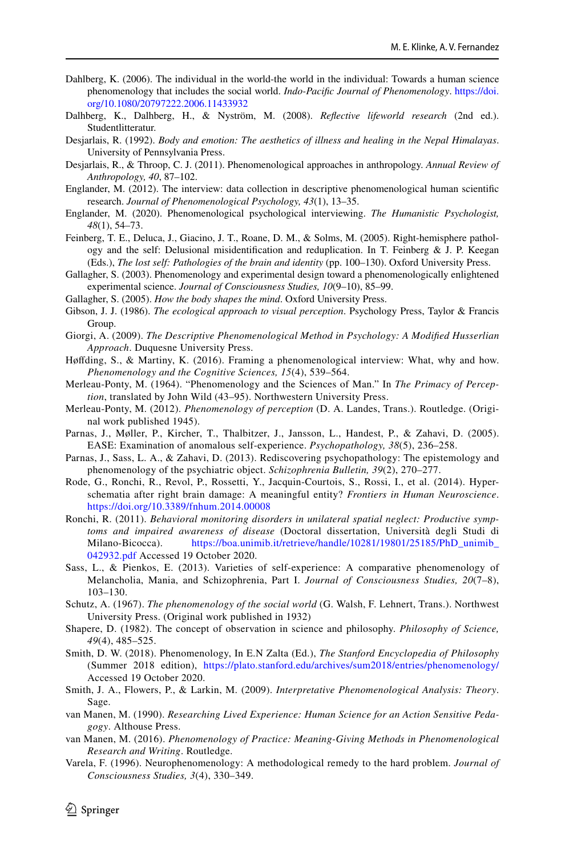- <span id="page-19-14"></span>Dahlberg, K. (2006). The individual in the world-the world in the individual: Towards a human science phenomenology that includes the social world. *Indo-Pacifc Journal of Phenomenology*. [https://doi.](https://doi.org/10.1080/20797222.2006.11433932) [org/10.1080/20797222.2006.11433932](https://doi.org/10.1080/20797222.2006.11433932)
- <span id="page-19-15"></span>Dalhberg, K., Dalhberg, H., & Nyström, M. (2008). *Refective lifeworld research* (2nd ed.). Studentlitteratur.
- <span id="page-19-12"></span>Desjarlais, R. (1992). *Body and emotion: The aesthetics of illness and healing in the Nepal Himalayas*. University of Pennsylvania Press.
- <span id="page-19-13"></span>Desjarlais, R., & Throop, C. J. (2011). Phenomenological approaches in anthropology. *Annual Review of Anthropology, 40*, 87–102.
- <span id="page-19-0"></span>Englander, M. (2012). The interview: data collection in descriptive phenomenological human scientifc research. *Journal of Phenomenological Psychology, 43*(1), 13–35.
- <span id="page-19-1"></span>Englander, M. (2020). Phenomenological psychological interviewing. *The Humanistic Psychologist, 48*(1), 54–73.
- <span id="page-19-20"></span>Feinberg, T. E., Deluca, J., Giacino, J. T., Roane, D. M., & Solms, M. (2005). Right-hemisphere pathology and the self: Delusional misidentifcation and reduplication. In T. Feinberg & J. P. Keegan (Eds.), *The lost self: Pathologies of the brain and identity* (pp. 100–130). Oxford University Press.
- <span id="page-19-23"></span>Gallagher, S. (2003). Phenomenology and experimental design toward a phenomenologically enlightened experimental science. *Journal of Consciousness Studies, 10*(9–10), 85–99.
- <span id="page-19-10"></span>Gallagher, S. (2005). *How the body shapes the mind*. Oxford University Press.
- <span id="page-19-22"></span>Gibson, J. J. (1986). *The ecological approach to visual perception*. Psychology Press, Taylor & Francis Group.
- <span id="page-19-2"></span>Giorgi, A. (2009). *The Descriptive Phenomenological Method in Psychology: A Modifed Husserlian Approach*. Duquesne University Press.
- <span id="page-19-3"></span>Høfding, S., & Martiny, K. (2016). Framing a phenomenological interview: What, why and how. *Phenomenology and the Cognitive Sciences, 15*(4), 539–564.
- <span id="page-19-11"></span>Merleau-Ponty, M. (1964). "Phenomenology and the Sciences of Man." In *The Primacy of Perception*, translated by John Wild (43–95). Northwestern University Press.
- <span id="page-19-25"></span>Merleau-Ponty, M. (2012). *Phenomenology of perception* (D. A. Landes, Trans.). Routledge. (Original work published 1945).
- <span id="page-19-16"></span>Parnas, J., Møller, P., Kircher, T., Thalbitzer, J., Jansson, L., Handest, P., & Zahavi, D. (2005). EASE: Examination of anomalous self-experience. *Psychopathology, 38*(5), 236–258.
- <span id="page-19-17"></span>Parnas, J., Sass, L. A., & Zahavi, D. (2013). Rediscovering psychopathology: The epistemology and phenomenology of the psychiatric object. *Schizophrenia Bulletin, 39*(2), 270–277.
- <span id="page-19-19"></span>Rode, G., Ronchi, R., Revol, P., Rossetti, Y., Jacquin-Courtois, S., Rossi, I., et al. (2014). Hyperschematia after right brain damage: A meaningful entity? *Frontiers in Human Neuroscience*. <https://doi.org/10.3389/fnhum.2014.00008>
- <span id="page-19-18"></span>Ronchi, R. (2011). *Behavioral monitoring disorders in unilateral spatial neglect: Productive symptoms and impaired awareness of disease* (Doctoral dissertation, Università degli Studi di Milano-Bicocca). [https://boa.unimib.it/retrieve/handle/10281/19801/25185/PhD\\_unimib\\_](https://boa.unimib.it/retrieve/handle/10281/19801/25185/PhD_unimib_042932.pdf) [042932.pdf](https://boa.unimib.it/retrieve/handle/10281/19801/25185/PhD_unimib_042932.pdf) Accessed 19 October 2020.
- <span id="page-19-7"></span>Sass, L., & Pienkos, E. (2013). Varieties of self-experience: A comparative phenomenology of Melancholia, Mania, and Schizophrenia, Part I. *Journal of Consciousness Studies, 20*(7–8), 103–130.
- <span id="page-19-21"></span>Schutz, A. (1967). *The phenomenology of the social world* (G. Walsh, F. Lehnert, Trans.). Northwest University Press. (Original work published in 1932)
- <span id="page-19-24"></span>Shapere, D. (1982). The concept of observation in science and philosophy. *Philosophy of Science, 49*(4), 485–525.
- <span id="page-19-9"></span>Smith, D. W. (2018). Phenomenology, In E.N Zalta (Ed.), *The Stanford Encyclopedia of Philosophy* (Summer 2018 edition), <https://plato.stanford.edu/archives/sum2018/entries/phenomenology/> Accessed 19 October 2020.
- <span id="page-19-4"></span>Smith, J. A., Flowers, P., & Larkin, M. (2009). *Interpretative Phenomenological Analysis: Theory*. Sage.
- <span id="page-19-5"></span>van Manen, M. (1990). *Researching Lived Experience: Human Science for an Action Sensitive Pedagogy*. Althouse Press.
- <span id="page-19-6"></span>van Manen, M. (2016). *Phenomenology of Practice: Meaning-Giving Methods in Phenomenological Research and Writing*. Routledge.
- <span id="page-19-8"></span>Varela, F. (1996). Neurophenomenology: A methodological remedy to the hard problem. *Journal of Consciousness Studies, 3*(4), 330–349.